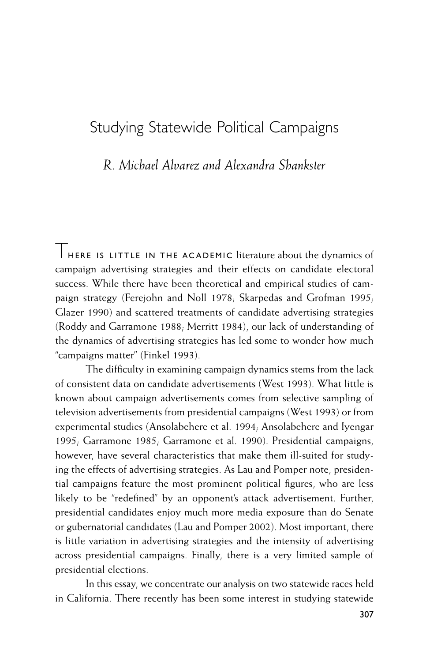# Studying Statewide Political Campaigns

# *R. Michael Alvarez and Alexandra Shankster*

HERE IS LITTLE IN THE ACADEMIC literature about the dynamics of campaign advertising strategies and their effects on candidate electoral success. While there have been theoretical and empirical studies of campaign strategy (Ferejohn and Noll 1978; Skarpedas and Grofman 1995; Glazer 1990) and scattered treatments of candidate advertising strategies (Roddy and Garramone 1988; Merritt 1984), our lack of understanding of the dynamics of advertising strategies has led some to wonder how much "campaigns matter" (Finkel 1993).

The difficulty in examining campaign dynamics stems from the lack of consistent data on candidate advertisements (West 1993). What little is known about campaign advertisements comes from selective sampling of television advertisements from presidential campaigns (West 1993) or from experimental studies (Ansolabehere et al. 1994; Ansolabehere and Iyengar 1995; Garramone 1985; Garramone et al. 1990). Presidential campaigns, however, have several characteristics that make them ill-suited for studying the effects of advertising strategies. As Lau and Pomper note, presidential campaigns feature the most prominent political figures, who are less likely to be "redefined" by an opponent's attack advertisement. Further, presidential candidates enjoy much more media exposure than do Senate or gubernatorial candidates (Lau and Pomper 2002). Most important, there is little variation in advertising strategies and the intensity of advertising across presidential campaigns. Finally, there is a very limited sample of presidential elections.

In this essay, we concentrate our analysis on two statewide races held in California. There recently has been some interest in studying statewide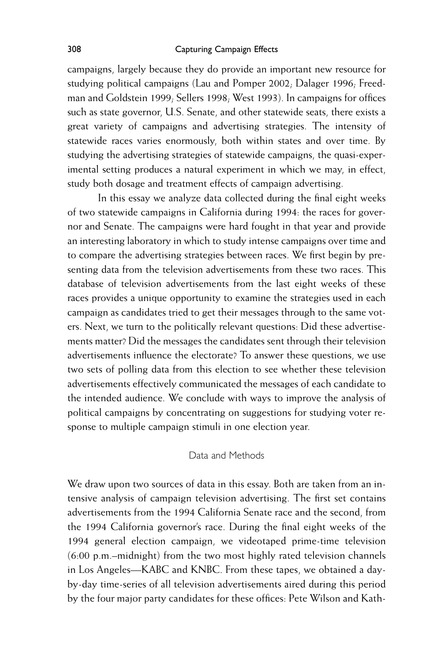### 308 Capturing Campaign Effects

campaigns, largely because they do provide an important new resource for studying political campaigns (Lau and Pomper 2002; Dalager 1996; Freedman and Goldstein 1999; Sellers 1998; West 1993). In campaigns for offices such as state governor, U.S. Senate, and other statewide seats, there exists a great variety of campaigns and advertising strategies. The intensity of statewide races varies enormously, both within states and over time. By studying the advertising strategies of statewide campaigns, the quasi-experimental setting produces a natural experiment in which we may, in effect, study both dosage and treatment effects of campaign advertising.

In this essay we analyze data collected during the final eight weeks of two statewide campaigns in California during 1994: the races for governor and Senate. The campaigns were hard fought in that year and provide an interesting laboratory in which to study intense campaigns over time and to compare the advertising strategies between races. We first begin by presenting data from the television advertisements from these two races. This database of television advertisements from the last eight weeks of these races provides a unique opportunity to examine the strategies used in each campaign as candidates tried to get their messages through to the same voters. Next, we turn to the politically relevant questions: Did these advertisements matter? Did the messages the candidates sent through their television advertisements influence the electorate? To answer these questions, we use two sets of polling data from this election to see whether these television advertisements effectively communicated the messages of each candidate to the intended audience. We conclude with ways to improve the analysis of political campaigns by concentrating on suggestions for studying voter response to multiple campaign stimuli in one election year.

# Data and Methods

We draw upon two sources of data in this essay. Both are taken from an intensive analysis of campaign television advertising. The first set contains advertisements from the 1994 California Senate race and the second, from the 1994 California governor's race. During the final eight weeks of the 1994 general election campaign, we videotaped prime-time television (6:00 p.m.–midnight) from the two most highly rated television channels in Los Angeles—KABC and KNBC. From these tapes, we obtained a dayby-day time-series of all television advertisements aired during this period by the four major party candidates for these offices: Pete Wilson and Kath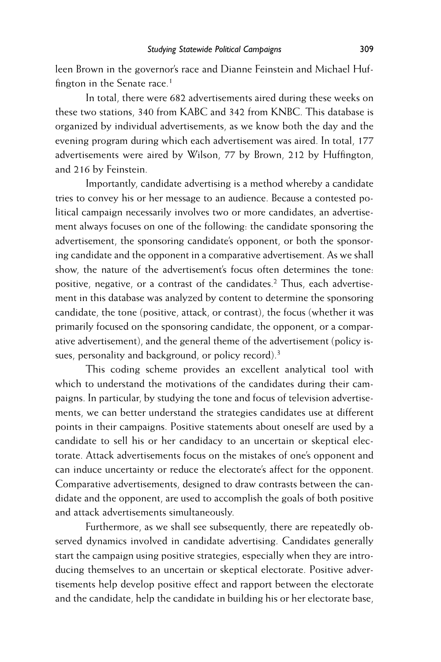leen Brown in the governor's race and Dianne Feinstein and Michael Huffington in the Senate race.<sup>1</sup>

In total, there were 682 advertisements aired during these weeks on these two stations, 340 from KABC and 342 from KNBC. This database is organized by individual advertisements, as we know both the day and the evening program during which each advertisement was aired. In total, 177 advertisements were aired by Wilson, 77 by Brown, 212 by Huffington, and 216 by Feinstein.

Importantly, candidate advertising is a method whereby a candidate tries to convey his or her message to an audience. Because a contested political campaign necessarily involves two or more candidates, an advertisement always focuses on one of the following: the candidate sponsoring the advertisement, the sponsoring candidate's opponent, or both the sponsoring candidate and the opponent in a comparative advertisement. As we shall show, the nature of the advertisement's focus often determines the tone: positive, negative, or a contrast of the candidates.2 Thus, each advertisement in this database was analyzed by content to determine the sponsoring candidate, the tone (positive, attack, or contrast), the focus (whether it was primarily focused on the sponsoring candidate, the opponent, or a comparative advertisement), and the general theme of the advertisement (policy issues, personality and background, or policy record).<sup>3</sup>

This coding scheme provides an excellent analytical tool with which to understand the motivations of the candidates during their campaigns. In particular, by studying the tone and focus of television advertisements, we can better understand the strategies candidates use at different points in their campaigns. Positive statements about oneself are used by a candidate to sell his or her candidacy to an uncertain or skeptical electorate. Attack advertisements focus on the mistakes of one's opponent and can induce uncertainty or reduce the electorate's affect for the opponent. Comparative advertisements, designed to draw contrasts between the candidate and the opponent, are used to accomplish the goals of both positive and attack advertisements simultaneously.

Furthermore, as we shall see subsequently, there are repeatedly observed dynamics involved in candidate advertising. Candidates generally start the campaign using positive strategies, especially when they are introducing themselves to an uncertain or skeptical electorate. Positive advertisements help develop positive effect and rapport between the electorate and the candidate, help the candidate in building his or her electorate base,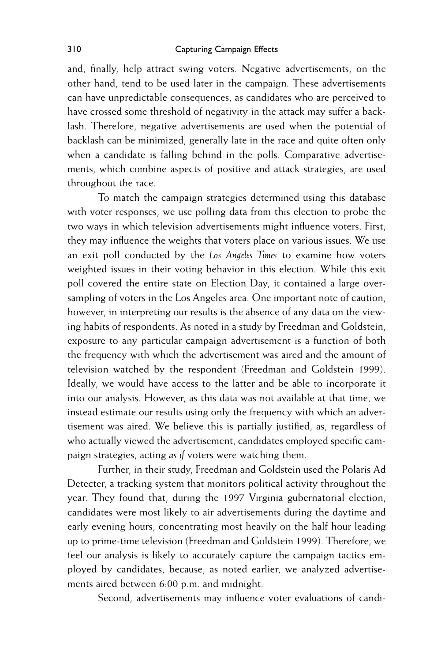and, finally, help attract swing voters. Negative advertisements, on the other hand, tend to be used later in the campaign. These advertisements can have unpredictable consequences, as candidates who are perceived to have crossed some threshold of negativity in the attack may suffer a backlash. Therefore, negative advertisements are used when the potential of backlash can be minimized, generally late in the race and quite often only when a candidate is falling behind in the polls. Comparative advertisements, which combine aspects of positive and attack strategies, are used throughout the race.

To match the campaign strategies determined using this database with voter responses, we use polling data from this election to probe the two ways in which television advertisements might influence voters. First, they may influence the weights that voters place on various issues. We use an exit poll conducted by the *Los Angeles Times* to examine how voters weighted issues in their voting behavior in this election. While this exit poll covered the entire state on Election Day, it contained a large oversampling of voters in the Los Angeles area. One important note of caution, however, in interpreting our results is the absence of any data on the viewing habits of respondents. As noted in a study by Freedman and Goldstein, exposure to any particular campaign advertisement is a function of both the frequency with which the advertisement was aired and the amount of television watched by the respondent (Freedman and Goldstein 1999). Ideally, we would have access to the latter and be able to incorporate it into our analysis. However, as this data was not available at that time, we instead estimate our results using only the frequency with which an advertisement was aired. We believe this is partially justified, as, regardless of who actually viewed the advertisement, candidates employed specific campaign strategies, acting *as if* voters were watching them.

Further, in their study, Freedman and Goldstein used the Polaris Ad Detecter, a tracking system that monitors political activity throughout the year. They found that, during the 1997 Virginia gubernatorial election, candidates were most likely to air advertisements during the daytime and early evening hours, concentrating most heavily on the half hour leading up to prime-time television (Freedman and Goldstein 1999). Therefore, we feel our analysis is likely to accurately capture the campaign tactics employed by candidates, because, as noted earlier, we analyzed advertisements aired between 6:00 p.m. and midnight.

Second, advertisements may influence voter evaluations of candi-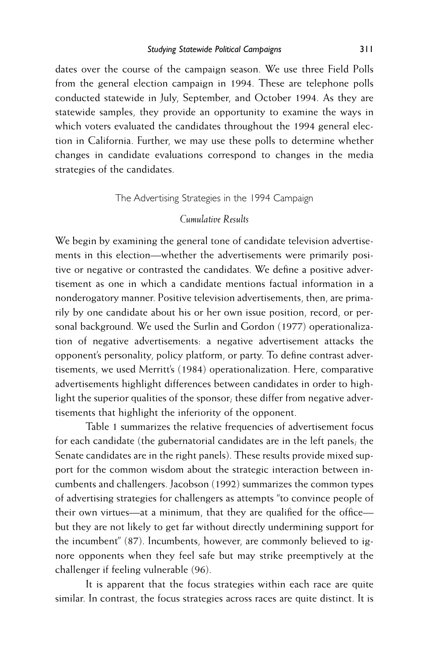dates over the course of the campaign season. We use three Field Polls from the general election campaign in 1994. These are telephone polls conducted statewide in July, September, and October 1994. As they are statewide samples, they provide an opportunity to examine the ways in which voters evaluated the candidates throughout the 1994 general election in California. Further, we may use these polls to determine whether changes in candidate evaluations correspond to changes in the media strategies of the candidates.

### The Advertising Strategies in the 1994 Campaign

# *Cumulative Results*

We begin by examining the general tone of candidate television advertisements in this election—whether the advertisements were primarily positive or negative or contrasted the candidates. We define a positive advertisement as one in which a candidate mentions factual information in a nonderogatory manner. Positive television advertisements, then, are primarily by one candidate about his or her own issue position, record, or personal background. We used the Surlin and Gordon (1977) operationalization of negative advertisements: a negative advertisement attacks the opponent's personality, policy platform, or party. To define contrast advertisements, we used Merritt's (1984) operationalization. Here, comparative advertisements highlight differences between candidates in order to highlight the superior qualities of the sponsor; these differ from negative advertisements that highlight the inferiority of the opponent.

Table 1 summarizes the relative frequencies of advertisement focus for each candidate (the gubernatorial candidates are in the left panels; the Senate candidates are in the right panels). These results provide mixed support for the common wisdom about the strategic interaction between incumbents and challengers. Jacobson (1992) summarizes the common types of advertising strategies for challengers as attempts "to convince people of their own virtues—at a minimum, that they are qualified for the office but they are not likely to get far without directly undermining support for the incumbent" (87). Incumbents, however, are commonly believed to ignore opponents when they feel safe but may strike preemptively at the challenger if feeling vulnerable (96).

It is apparent that the focus strategies within each race are quite similar. In contrast, the focus strategies across races are quite distinct. It is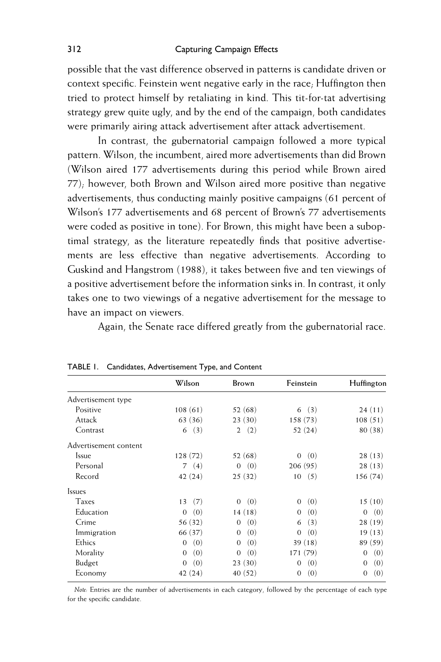possible that the vast difference observed in patterns is candidate driven or context specific. Feinstein went negative early in the race; Huffington then tried to protect himself by retaliating in kind. This tit-for-tat advertising strategy grew quite ugly, and by the end of the campaign, both candidates were primarily airing attack advertisement after attack advertisement.

In contrast, the gubernatorial campaign followed a more typical pattern. Wilson, the incumbent, aired more advertisements than did Brown (Wilson aired 177 advertisements during this period while Brown aired 77); however, both Brown and Wilson aired more positive than negative advertisements, thus conducting mainly positive campaigns (61 percent of Wilson's 177 advertisements and 68 percent of Brown's 77 advertisements were coded as positive in tone). For Brown, this might have been a suboptimal strategy, as the literature repeatedly finds that positive advertisements are less effective than negative advertisements. According to Guskind and Hangstrom (1988), it takes between five and ten viewings of a positive advertisement before the information sinks in. In contrast, it only takes one to two viewings of a negative advertisement for the message to have an impact on viewers.

Again, the Senate race differed greatly from the gubernatorial race.

|                       | Wilson                | Brown                   | Feinstein             | Huffington            |
|-----------------------|-----------------------|-------------------------|-----------------------|-----------------------|
| Advertisement type    |                       |                         |                       |                       |
| Positive              | 108(61)               | 52(68)                  | 6(3)                  | 24(11)                |
| Attack                | 63 (36)               | 23(30)                  | 158(73)               | 108(51)               |
| Contrast              | 6(3)                  | 2(2)                    | 52(24)                | 80 (38)               |
| Advertisement content |                       |                         |                       |                       |
| Issue                 | 128 (72)              | 52(68)                  | (0)<br>$\overline{0}$ | 28(13)                |
| Personal              | 7(4)                  | 0 (0)                   | 206(95)               | 28(13)                |
| Record                | 42(24)                | 25(32)                  | 10(5)                 | 156(74)               |
| <b>Issues</b>         |                       |                         |                       |                       |
| Taxes                 | 13(7)                 | 0 (0)                   | (0)<br>$\mathbf{0}$   | 15(10)                |
| Education             | (0)<br>$\overline{0}$ | 14(18)                  | (0)<br>$\mathbf{0}$   | 0 (0)                 |
| Crime                 | 56(32)                | (0)<br>$\overline{0}$   | (3)<br>6              | 28(19)                |
| Immigration           | 66 (37)               | (0)<br>$\mathbf{0}$     | (0)<br>$\overline{0}$ | 19(13)                |
| Ethics                | 0 (0)                 | (0)<br>$\boldsymbol{0}$ | 39(18)                | 89 (59)               |
| Morality              | (0)<br>$\overline{0}$ | $\overline{0}$<br>(0)   | 171 (79)              | (0)<br>$\overline{0}$ |
| Budget                | (0)<br>$\mathbf{0}$   | 23(30)                  | (0)<br>$\overline{0}$ | (0)<br>$\mathbf{0}$   |
| Economy               | 42(24)                | 40(52)                  | (0)<br>$\mathbf{0}$   | (0)<br>$\mathbf{0}$   |
|                       |                       |                         |                       |                       |

TABLE 1. Candidates, Advertisement Type, and Content

*Note:* Entries are the number of advertisements in each category, followed by the percentage of each type for the specific candidate.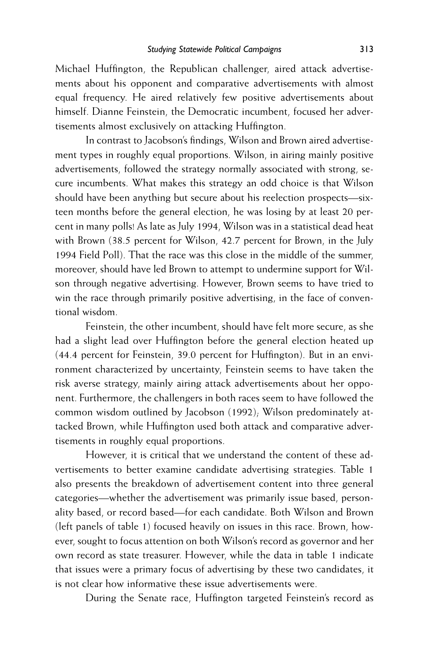Michael Huffington, the Republican challenger, aired attack advertisements about his opponent and comparative advertisements with almost equal frequency. He aired relatively few positive advertisements about himself. Dianne Feinstein, the Democratic incumbent, focused her advertisements almost exclusively on attacking Huffington.

In contrast to Jacobson's findings, Wilson and Brown aired advertisement types in roughly equal proportions. Wilson, in airing mainly positive advertisements, followed the strategy normally associated with strong, secure incumbents. What makes this strategy an odd choice is that Wilson should have been anything but secure about his reelection prospects—sixteen months before the general election, he was losing by at least 20 percent in many polls! As late as July 1994, Wilson was in a statistical dead heat with Brown (38.5 percent for Wilson, 42.7 percent for Brown, in the July 1994 Field Poll). That the race was this close in the middle of the summer, moreover, should have led Brown to attempt to undermine support for Wilson through negative advertising. However, Brown seems to have tried to win the race through primarily positive advertising, in the face of conventional wisdom.

Feinstein, the other incumbent, should have felt more secure, as she had a slight lead over Huffington before the general election heated up  $(44.4$  percent for Feinstein, 39.0 percent for Huffington). But in an environment characterized by uncertainty, Feinstein seems to have taken the risk averse strategy, mainly airing attack advertisements about her opponent. Furthermore, the challengers in both races seem to have followed the common wisdom outlined by Jacobson (1992); Wilson predominately attacked Brown, while Huffington used both attack and comparative advertisements in roughly equal proportions.

However, it is critical that we understand the content of these advertisements to better examine candidate advertising strategies. Table 1 also presents the breakdown of advertisement content into three general categories—whether the advertisement was primarily issue based, personality based, or record based—for each candidate. Both Wilson and Brown (left panels of table 1) focused heavily on issues in this race. Brown, however, sought to focus attention on both Wilson's record as governor and her own record as state treasurer. However, while the data in table 1 indicate that issues were a primary focus of advertising by these two candidates, it is not clear how informative these issue advertisements were.

During the Senate race, Huffington targeted Feinstein's record as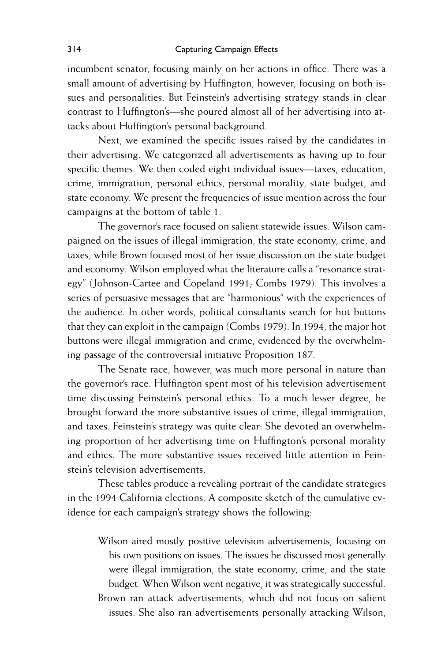incumbent senator, focusing mainly on her actions in office. There was a small amount of advertising by Huffington, however, focusing on both issues and personalities. But Feinstein's advertising strategy stands in clear contrast to Huffington's—she poured almost all of her advertising into attacks about Huffington's personal background.

Next, we examined the specific issues raised by the candidates in their advertising. We categorized all advertisements as having up to four specific themes. We then coded eight individual issues—taxes, education, crime, immigration, personal ethics, personal morality, state budget, and state economy. We present the frequencies of issue mention across the four campaigns at the bottom of table 1.

The governor's race focused on salient statewide issues. Wilson campaigned on the issues of illegal immigration, the state economy, crime, and taxes, while Brown focused most of her issue discussion on the state budget and economy. Wilson employed what the literature calls a "resonance strategy" (Johnson-Cartee and Copeland 1991; Combs 1979). This involves a series of persuasive messages that are "harmonious" with the experiences of the audience. In other words, political consultants search for hot buttons that they can exploit in the campaign (Combs 1979). In 1994, the major hot buttons were illegal immigration and crime, evidenced by the overwhelming passage of the controversial initiative Proposition 187.

The Senate race, however, was much more personal in nature than the governor's race. Huffington spent most of his television advertisement time discussing Feinstein's personal ethics. To a much lesser degree, he brought forward the more substantive issues of crime, illegal immigration, and taxes. Feinstein's strategy was quite clear: She devoted an overwhelming proportion of her advertising time on Huffington's personal morality and ethics. The more substantive issues received little attention in Feinstein's television advertisements.

These tables produce a revealing portrait of the candidate strategies in the 1994 California elections. A composite sketch of the cumulative evidence for each campaign's strategy shows the following:

Wilson aired mostly positive television advertisements, focusing on his own positions on issues. The issues he discussed most generally were illegal immigration, the state economy, crime, and the state budget. When Wilson went negative, it was strategically successful. Brown ran attack advertisements, which did not focus on salient issues. She also ran advertisements personally attacking Wilson,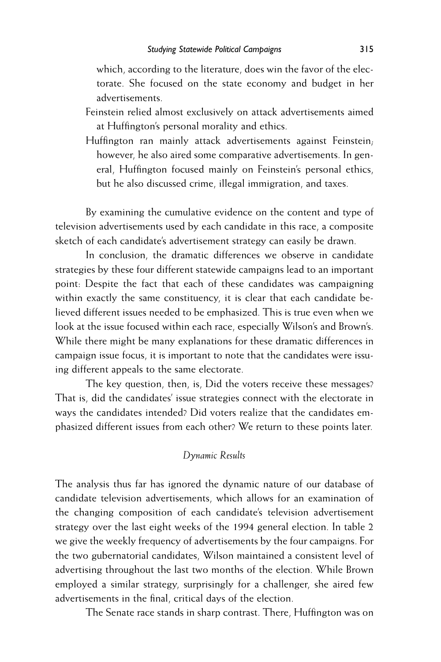which, according to the literature, does win the favor of the electorate. She focused on the state economy and budget in her advertisements.

- Feinstein relied almost exclusively on attack advertisements aimed at Huffington's personal morality and ethics.
- Huffington ran mainly attack advertisements against Feinstein; however, he also aired some comparative advertisements. In general, Huffington focused mainly on Feinstein's personal ethics, but he also discussed crime, illegal immigration, and taxes.

By examining the cumulative evidence on the content and type of television advertisements used by each candidate in this race, a composite sketch of each candidate's advertisement strategy can easily be drawn.

In conclusion, the dramatic differences we observe in candidate strategies by these four different statewide campaigns lead to an important point: Despite the fact that each of these candidates was campaigning within exactly the same constituency, it is clear that each candidate believed different issues needed to be emphasized. This is true even when we look at the issue focused within each race, especially Wilson's and Brown's. While there might be many explanations for these dramatic differences in campaign issue focus, it is important to note that the candidates were issuing different appeals to the same electorate.

The key question, then, is, Did the voters receive these messages? That is, did the candidates' issue strategies connect with the electorate in ways the candidates intended? Did voters realize that the candidates emphasized different issues from each other? We return to these points later.

# *Dynamic Results*

The analysis thus far has ignored the dynamic nature of our database of candidate television advertisements, which allows for an examination of the changing composition of each candidate's television advertisement strategy over the last eight weeks of the 1994 general election. In table 2 we give the weekly frequency of advertisements by the four campaigns. For the two gubernatorial candidates, Wilson maintained a consistent level of advertising throughout the last two months of the election. While Brown employed a similar strategy, surprisingly for a challenger, she aired few advertisements in the final, critical days of the election.

The Senate race stands in sharp contrast. There, Huffington was on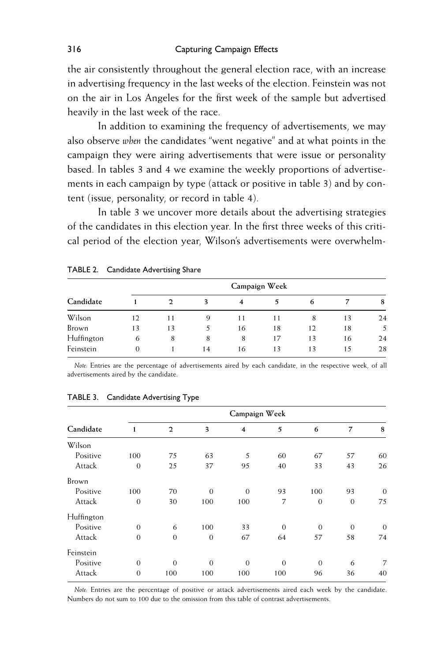the air consistently throughout the general election race, with an increase in advertising frequency in the last weeks of the election. Feinstein was not on the air in Los Angeles for the first week of the sample but advertised heavily in the last week of the race.

In addition to examining the frequency of advertisements, we may also observe *when* the candidates "went negative" and at what points in the campaign they were airing advertisements that were issue or personality based. In tables 3 and 4 we examine the weekly proportions of advertisements in each campaign by type (attack or positive in table 3) and by content (issue, personality, or record in table 4).

In table 3 we uncover more details about the advertising strategies of the candidates in this election year. In the first three weeks of this critical period of the election year, Wilson's advertisements were overwhelm-

| Candidate  |              |              |    |    | Campaign Week |    |    |    |
|------------|--------------|--------------|----|----|---------------|----|----|----|
|            |              | $\mathbf{c}$ | 3  | 4  | 5             | 6  |    | 8  |
| Wilson     | 12           | 11           | 9  | 11 |               | 8  | 13 | 24 |
| Brown      | 13           | 13           | C. | 16 | 18            | 12 | 18 | 5  |
| Huffington | 6            | 8            | 8  | 8  | 17            | 13 | 16 | 24 |
| Feinstein  | $\mathbf{0}$ |              | 14 | 16 | 13            | 13 | 15 | 28 |

TABLE 2. Candidate Advertising Share

*Note:* Entries are the percentage of advertisements aired by each candidate, in the respective week, of all advertisements aired by the candidate.

| Candidate  | Campaign Week  |                |                |                         |                |                |                |              |
|------------|----------------|----------------|----------------|-------------------------|----------------|----------------|----------------|--------------|
|            | 1              | $\overline{2}$ | 3              | $\overline{\mathbf{4}}$ | 5              | 6              | 7              | 8            |
| Wilson     |                |                |                |                         |                |                |                |              |
| Positive   | 100            | 75             | 63             | 5                       | 60             | 67             | 57             | 60           |
| Attack     | $\overline{0}$ | 25             | 37             | 95                      | 40             | 33             | 43             | 26           |
| Brown      |                |                |                |                         |                |                |                |              |
| Positive   | 100            | 70             | $\Omega$       | $\overline{0}$          | 93             | 100            | 93             | $\mathbf{0}$ |
| Attack     | $\mathbf{0}$   | 30             | 100            | 100                     | 7              | $\mathbf{0}$   | $\overline{0}$ | 75           |
| Huffington |                |                |                |                         |                |                |                |              |
| Positive   | $\overline{0}$ | 6              | 100            | 33                      | $\overline{0}$ | $\Omega$       | $\overline{0}$ | $\mathbf{0}$ |
| Attack     | $\overline{0}$ | $\Omega$       | $\overline{0}$ | 67                      | 64             | 57             | 58             | 74           |
| Feinstein  |                |                |                |                         |                |                |                |              |
| Positive   | $\overline{0}$ | $\mathbf{0}$   | $\mathbf{0}$   | $\overline{0}$          | $\mathbf{0}$   | $\overline{0}$ | 6              | 7            |
| Attack     | $\overline{0}$ | 100            | 100            | 100                     | 100            | 96             | 36             | 40           |

#### TABLE 3. Candidate Advertising Type

*Note:* Entries are the percentage of positive or attack advertisements aired each week by the candidate. Numbers do not sum to 100 due to the omission from this table of contrast advertisements.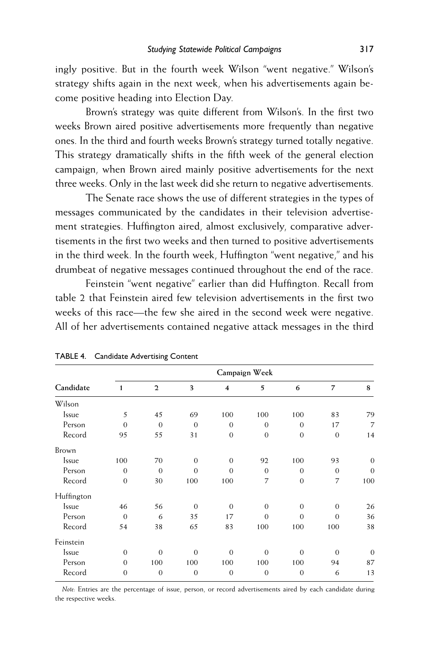ingly positive. But in the fourth week Wilson "went negative." Wilson's strategy shifts again in the next week, when his advertisements again become positive heading into Election Day.

Brown's strategy was quite different from Wilson's. In the first two weeks Brown aired positive advertisements more frequently than negative ones. In the third and fourth weeks Brown's strategy turned totally negative. This strategy dramatically shifts in the fifth week of the general election campaign, when Brown aired mainly positive advertisements for the next three weeks. Only in the last week did she return to negative advertisements.

The Senate race shows the use of different strategies in the types of messages communicated by the candidates in their television advertisement strategies. Huffington aired, almost exclusively, comparative advertisements in the first two weeks and then turned to positive advertisements in the third week. In the fourth week, Huffington "went negative," and his drumbeat of negative messages continued throughout the end of the race.

Feinstein "went negative" earlier than did Huffington. Recall from table 2 that Feinstein aired few television advertisements in the first two weeks of this race—the few she aired in the second week were negative. All of her advertisements contained negative attack messages in the third

|            |                | Campaign Week  |                         |              |                |                |                |                |  |
|------------|----------------|----------------|-------------------------|--------------|----------------|----------------|----------------|----------------|--|
| Candidate  | 1              | $\overline{a}$ | $\overline{\mathbf{3}}$ | 4            | 5              | 6              | $\overline{7}$ | 8              |  |
| Wilson     |                |                |                         |              |                |                |                |                |  |
| Issue      | 5              | 45             | 69                      | 100          | 100            | 100            | 83             | 79             |  |
| Person     | $\Omega$       | $\overline{0}$ | $\mathbf{0}$            | $\mathbf{0}$ | $\overline{0}$ | $\overline{0}$ | 17             | $\overline{7}$ |  |
| Record     | 95             | 55             | 31                      | $\mathbf{0}$ | $\mathbf{0}$   | $\overline{0}$ | $\overline{0}$ | 14             |  |
| Brown      |                |                |                         |              |                |                |                |                |  |
| Issue      | 100            | 70             | $\overline{0}$          | $\mathbf{0}$ | 92             | 100            | 93             | $\mathbf{0}$   |  |
| Person     | $\overline{0}$ | $\overline{0}$ | $\Omega$                | $\Omega$     | $\overline{0}$ | $\overline{0}$ | $\overline{0}$ | $\mathbf{0}$   |  |
| Record     | $\mathbf{0}$   | 30             | 100                     | 100          | 7              | $\overline{0}$ | 7              | 100            |  |
| Huffington |                |                |                         |              |                |                |                |                |  |
| Issue      | 46             | 56             | $\Omega$                | $\Omega$     | $\Omega$       | $\Omega$       | $\Omega$       | 26             |  |
| Person     | $\overline{0}$ | 6              | 35                      | 17           | $\Omega$       | $\Omega$       | $\Omega$       | 36             |  |
| Record     | 54             | 38             | 65                      | 83           | 100            | 100            | 100            | 38             |  |
| Feinstein  |                |                |                         |              |                |                |                |                |  |
| Issue      | $\mathbf{0}$   | $\Omega$       | $\Omega$                | $\Omega$     | $\Omega$       | $\Omega$       | $\Omega$       | $\Omega$       |  |
| Person     | $\Omega$       | 100            | 100                     | 100          | 100            | 100            | 94             | 87             |  |
| Record     | $\mathbf{0}$   | $\overline{0}$ | $\mathbf{0}$            | $\mathbf{0}$ | $\overline{0}$ | $\overline{0}$ | 6              | 13             |  |

TABLE 4. Candidate Advertising Content

*Note:* Entries are the percentage of issue, person, or record advertisements aired by each candidate during the respective weeks.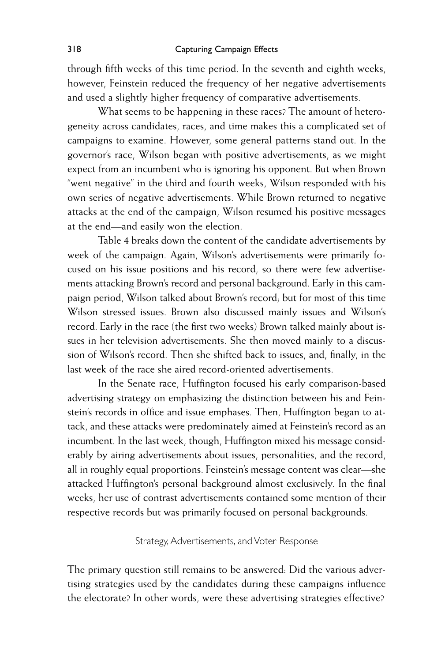through fifth weeks of this time period. In the seventh and eighth weeks, however, Feinstein reduced the frequency of her negative advertisements and used a slightly higher frequency of comparative advertisements.

What seems to be happening in these races? The amount of heterogeneity across candidates, races, and time makes this a complicated set of campaigns to examine. However, some general patterns stand out. In the governor's race, Wilson began with positive advertisements, as we might expect from an incumbent who is ignoring his opponent. But when Brown "went negative" in the third and fourth weeks, Wilson responded with his own series of negative advertisements. While Brown returned to negative attacks at the end of the campaign, Wilson resumed his positive messages at the end—and easily won the election.

Table 4 breaks down the content of the candidate advertisements by week of the campaign. Again, Wilson's advertisements were primarily focused on his issue positions and his record, so there were few advertisements attacking Brown's record and personal background. Early in this campaign period, Wilson talked about Brown's record; but for most of this time Wilson stressed issues. Brown also discussed mainly issues and Wilson's record. Early in the race (the first two weeks) Brown talked mainly about issues in her television advertisements. She then moved mainly to a discussion of Wilson's record. Then she shifted back to issues, and, finally, in the last week of the race she aired record-oriented advertisements.

In the Senate race, Huffington focused his early comparison-based advertising strategy on emphasizing the distinction between his and Feinstein's records in office and issue emphases. Then, Huffington began to attack, and these attacks were predominately aimed at Feinstein's record as an incumbent. In the last week, though, Huffington mixed his message considerably by airing advertisements about issues, personalities, and the record, all in roughly equal proportions. Feinstein's message content was clear—she attacked Huffington's personal background almost exclusively. In the final weeks, her use of contrast advertisements contained some mention of their respective records but was primarily focused on personal backgrounds.

## Strategy, Advertisements, and Voter Response

The primary question still remains to be answered: Did the various advertising strategies used by the candidates during these campaigns influence the electorate? In other words, were these advertising strategies effective?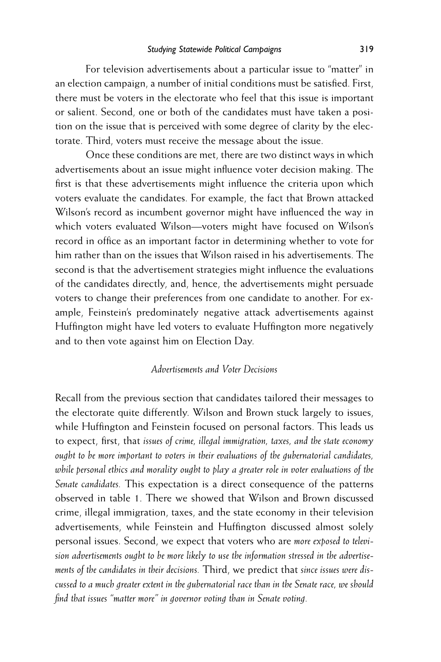For television advertisements about a particular issue to "matter" in an election campaign, a number of initial conditions must be satisfied. First, there must be voters in the electorate who feel that this issue is important or salient. Second, one or both of the candidates must have taken a position on the issue that is perceived with some degree of clarity by the electorate. Third, voters must receive the message about the issue.

Once these conditions are met, there are two distinct ways in which advertisements about an issue might influence voter decision making. The first is that these advertisements might influence the criteria upon which voters evaluate the candidates. For example, the fact that Brown attacked Wilson's record as incumbent governor might have influenced the way in which voters evaluated Wilson—voters might have focused on Wilson's record in office as an important factor in determining whether to vote for him rather than on the issues that Wilson raised in his advertisements. The second is that the advertisement strategies might influence the evaluations of the candidates directly, and, hence, the advertisements might persuade voters to change their preferences from one candidate to another. For example, Feinstein's predominately negative attack advertisements against Huffington might have led voters to evaluate Huffington more negatively and to then vote against him on Election Day.

# *Advertisements and Voter Decisions*

Recall from the previous section that candidates tailored their messages to the electorate quite differently. Wilson and Brown stuck largely to issues, while Huffington and Feinstein focused on personal factors. This leads us to expect, first, that *issues of crime, illegal immigration*, taxes, and the state economy *ought to be more important to voters in their evaluations of the gubernatorial candidates, while personal ethics and morality ought to play a greater role in voter evaluations of the Senate candidates.* This expectation is a direct consequence of the patterns observed in table 1. There we showed that Wilson and Brown discussed crime, illegal immigration, taxes, and the state economy in their television advertisements, while Feinstein and Huffington discussed almost solely personal issues. Second, we expect that voters who are *more exposed to television advertisements ought to be more likely to use the information stressed in the advertisements of the candidates in their decisions.* Third, we predict that *since issues were discussed to a much greater extent in the gubernatorial race than in the Senate race, we should* find that issues "matter more" in governor voting than in Senate voting.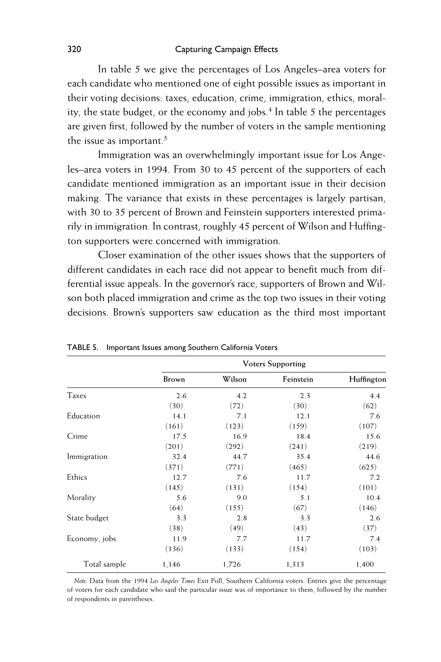In table 5 we give the percentages of Los Angeles–area voters for each candidate who mentioned one of eight possible issues as important in their voting decisions: taxes, education, crime, immigration, ethics, morality, the state budget, or the economy and jobs.<sup>4</sup> In table 5 the percentages are given first, followed by the number of voters in the sample mentioning the issue as important.<sup>5</sup>

Immigration was an overwhelmingly important issue for Los Angeles–area voters in 1994. From 30 to 45 percent of the supporters of each candidate mentioned immigration as an important issue in their decision making. The variance that exists in these percentages is largely partisan, with 30 to 35 percent of Brown and Feinstein supporters interested primarily in immigration. In contrast, roughly 45 percent of Wilson and Huffington supporters were concerned with immigration.

Closer examination of the other issues shows that the supporters of different candidates in each race did not appear to benefit much from differential issue appeals. In the governor's race, supporters of Brown and Wilson both placed immigration and crime as the top two issues in their voting decisions. Brown's supporters saw education as the third most important

|               | <b>Voters Supporting</b> |        |           |            |  |  |
|---------------|--------------------------|--------|-----------|------------|--|--|
|               | Brown                    | Wilson | Feinstein | Huffington |  |  |
| Taxes         | 2.6                      | 4.2    | 2.3       | 4.4        |  |  |
|               | (30)                     | (72)   | (30)      | (62)       |  |  |
| Education     | 14.1                     | 7.1    | 12.1      | 7.6        |  |  |
|               | (161)                    | (123)  | (159)     | (107)      |  |  |
| Crime         | 17.5                     | 16.9   | 18.4      | 15.6       |  |  |
|               | (201)                    | (292)  | (241)     | (219)      |  |  |
| Immigration   | 32.4                     | 44.7   | 35.4      | 44.6       |  |  |
|               | (371)                    | (771)  | (465)     | (625)      |  |  |
| Ethics        | 12.7                     | 7.6    | 11.7      | 7.2        |  |  |
|               | (145)                    | (131)  | (154)     | (101)      |  |  |
| Morality      | 5.6                      | 9.0    | 5.1       | 10.4       |  |  |
|               | (64)                     | (155)  | (67)      | (146)      |  |  |
| State budget  | 3.3                      | 2.8    | 3.3       | 2.6        |  |  |
|               | (38)                     | (49)   | (43)      | (37)       |  |  |
| Economy, jobs | 11.9                     | 7.7    | 11.7      | 7.4        |  |  |
|               | (136)                    | (133)  | (154)     | (103)      |  |  |
| Total sample  | 1,146                    | 1,726  | 1,313     | 1,400      |  |  |

TABLE 5. Important Issues among Southern California Voters

*Note:* Data from the 1994 *Los Angeles Times* Exit Poll, Southern California voters. Entries give the percentage of voters for each candidate who said the particular issue was of importance to them, followed by the number of respondents in parentheses.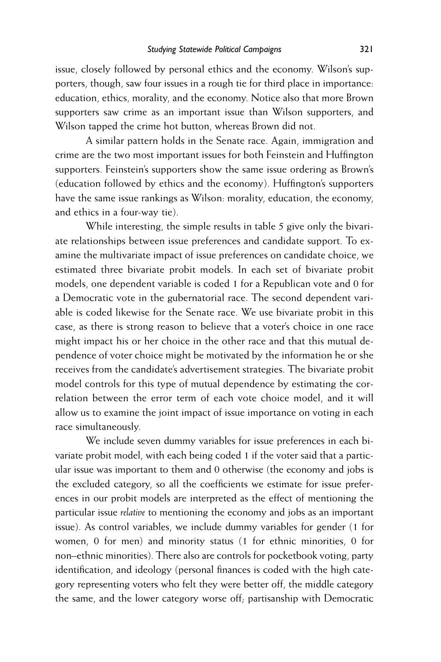issue, closely followed by personal ethics and the economy. Wilson's supporters, though, saw four issues in a rough tie for third place in importance: education, ethics, morality, and the economy. Notice also that more Brown supporters saw crime as an important issue than Wilson supporters, and Wilson tapped the crime hot button, whereas Brown did not.

A similar pattern holds in the Senate race. Again, immigration and crime are the two most important issues for both Feinstein and Huffington supporters. Feinstein's supporters show the same issue ordering as Brown's (education followed by ethics and the economy). Huffington's supporters have the same issue rankings as Wilson: morality, education, the economy, and ethics in a four-way tie).

While interesting, the simple results in table 5 give only the bivariate relationships between issue preferences and candidate support. To examine the multivariate impact of issue preferences on candidate choice, we estimated three bivariate probit models. In each set of bivariate probit models, one dependent variable is coded 1 for a Republican vote and 0 for a Democratic vote in the gubernatorial race. The second dependent variable is coded likewise for the Senate race. We use bivariate probit in this case, as there is strong reason to believe that a voter's choice in one race might impact his or her choice in the other race and that this mutual dependence of voter choice might be motivated by the information he or she receives from the candidate's advertisement strategies. The bivariate probit model controls for this type of mutual dependence by estimating the correlation between the error term of each vote choice model, and it will allow us to examine the joint impact of issue importance on voting in each race simultaneously.

We include seven dummy variables for issue preferences in each bivariate probit model, with each being coded 1 if the voter said that a particular issue was important to them and 0 otherwise (the economy and jobs is the excluded category, so all the coefficients we estimate for issue preferences in our probit models are interpreted as the effect of mentioning the particular issue *relative* to mentioning the economy and jobs as an important issue). As control variables, we include dummy variables for gender (1 for women, 0 for men) and minority status (1 for ethnic minorities, 0 for non–ethnic minorities). There also are controls for pocketbook voting, party identification, and ideology (personal finances is coded with the high category representing voters who felt they were better off, the middle category the same, and the lower category worse off; partisanship with Democratic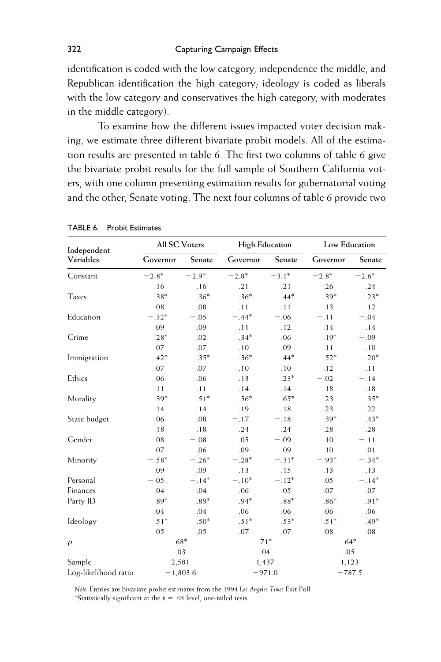identification is coded with the low category, independence the middle, and Republican identification the high category; ideology is coded as liberals with the low category and conservatives the high category, with moderates in the middle category).

To examine how the different issues impacted voter decision making, we estimate three different bivariate probit models. All of the estimation results are presented in table 6. The first two columns of table 6 give the bivariate probit results for the full sample of Southern California voters, with one column presenting estimation results for gubernatorial voting and the other, Senate voting. The next four columns of table 6 provide two

|                          | All SC Voters |         | <b>High Education</b> |         |          | Low Education |  |
|--------------------------|---------------|---------|-----------------------|---------|----------|---------------|--|
| Independent<br>Variables | Governor      | Senate  | Governor              | Senate  | Governor | Senate        |  |
| Constant                 | $-2.8*$       | $-2.9*$ | $-2.8*$               | $-3.1*$ | $-2.8*$  | $-2.6*$       |  |
|                          | .16           | .16     | .21                   | .21     | .26      | .24           |  |
| Taxes                    | $.38*$        | $.36*$  | $.36*$                | $.44*$  | $.39*$   | $.23*$        |  |
|                          | .08           | .08     | .11                   | .11     | .13      | .12           |  |
| Education                | $-.32*$       | $-.05$  | $-.44*$               | $-.06$  | $-.11$   | $-.04$        |  |
|                          | .09           | .09     | .11                   | .12     | .14      | .14           |  |
| Crime                    | $.28*$        | .02     | $.34*$                | .06     | $.19*$   | $-.09$        |  |
|                          | .07           | .07     | .10                   | .09     | .11      | .10           |  |
| Immigration              | $.42*$        | $.35*$  | $.36*$                | $.44*$  | $.52*$   | $.20*$        |  |
|                          | .07           | .07     | .10                   | .10     | .12      | .11           |  |
| Ethics                   | .06           | .06     | .13                   | $.23*$  | $-.02$   | $-.14$        |  |
|                          | .11           | .11     | .14                   | .14     | .18      | .18           |  |
| Morality                 | $.39*$        | $.51*$  | $.56*$                | $.65*$  | .23      | $.35*$        |  |
|                          | .14           | .14     | .19                   | .18     | .23      | .22           |  |
| State budget             | .06           | .08     | $-.17$                | $-.18$  | $.39*$   | $.43*$        |  |
|                          | .18           | .18     | .24                   | .24     | .28      | .28           |  |
| Gender                   | .08           | $-.08$  | .05                   | $-.09$  | .10      | $-.11$        |  |
|                          | .07           | .06     | .09                   | .09     | .10      | .01           |  |
| Minority                 | $-.58*$       | $-.26*$ | $-.28*$               | $-.31*$ | $-.93*$  | $-.34*$       |  |
|                          | .09           | .09     | .13                   | .15     | .13      | .13           |  |
| Personal                 | $-.05$        | $-.14*$ | $-.10*$               | $-.12*$ | .05      | $-.14*$       |  |
| Finances                 | .04           | .04     | .06                   | .05     | .07      | .07           |  |
| Party ID                 | $.89*$        | $.89*$  | $.94*$                | $.88*$  | $.86*$   | $.91*$        |  |
|                          | .04           | .04     | .06                   | .06     | .06      | .06           |  |
| Ideology                 | $.51*$        | $.50*$  | $.51*$                | $.53*$  | $.51*$   | $.49*$        |  |
|                          | .05           | .05     | .07                   | .07     | .08      | .08           |  |
| $\rho$                   | $.68*$        |         | $.71*$                |         | $.64*$   |               |  |
|                          | .03           |         | .04                   |         | .05      |               |  |
| Sample                   | 2,581         |         |                       | 1,437   | 1,123    |               |  |
| Log-likelihood ratio     | $-1,803.6$    |         | $-971.0$              |         | $-787.5$ |               |  |

#### TABLE 6. Probit Estimates

*Note:* Entries are bivariate probit estimates from the 1994 *Los Angeles Times* Exit Poll.

\*Statistically significant at the  $p = 0.05$  level, one-tailed tests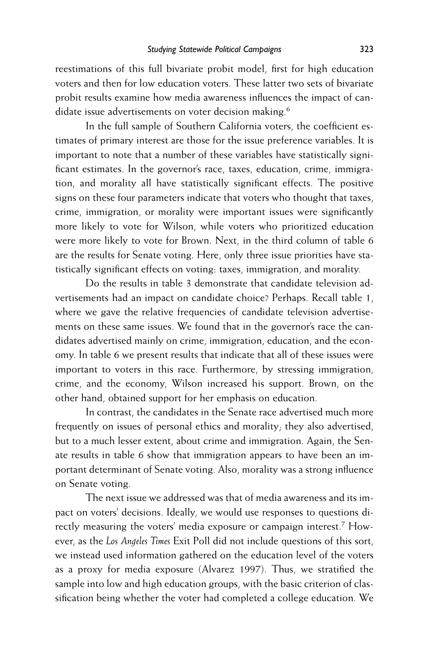reestimations of this full bivariate probit model, first for high education voters and then for low education voters. These latter two sets of bivariate probit results examine how media awareness influences the impact of candidate issue advertisements on voter decision making.<sup>6</sup>

In the full sample of Southern California voters, the coefficient estimates of primary interest are those for the issue preference variables. It is important to note that a number of these variables have statistically significant estimates. In the governor's race, taxes, education, crime, immigration, and morality all have statistically significant effects. The positive signs on these four parameters indicate that voters who thought that taxes, crime, immigration, or morality were important issues were significantly more likely to vote for Wilson, while voters who prioritized education were more likely to vote for Brown. Next, in the third column of table 6 are the results for Senate voting. Here, only three issue priorities have statistically significant effects on voting: taxes, immigration, and morality.

Do the results in table 3 demonstrate that candidate television advertisements had an impact on candidate choice? Perhaps. Recall table 1, where we gave the relative frequencies of candidate television advertisements on these same issues. We found that in the governor's race the candidates advertised mainly on crime, immigration, education, and the economy. In table 6 we present results that indicate that all of these issues were important to voters in this race. Furthermore, by stressing immigration, crime, and the economy, Wilson increased his support. Brown, on the other hand, obtained support for her emphasis on education.

In contrast, the candidates in the Senate race advertised much more frequently on issues of personal ethics and morality; they also advertised, but to a much lesser extent, about crime and immigration. Again, the Senate results in table 6 show that immigration appears to have been an important determinant of Senate voting. Also, morality was a strong influence on Senate voting.

The next issue we addressed was that of media awareness and its impact on voters' decisions. Ideally, we would use responses to questions directly measuring the voters' media exposure or campaign interest.<sup>7</sup> However, as the *Los Angeles Times* Exit Poll did not include questions of this sort, we instead used information gathered on the education level of the voters as a proxy for media exposure (Alvarez 1997). Thus, we stratified the sample into low and high education groups, with the basic criterion of classification being whether the voter had completed a college education. We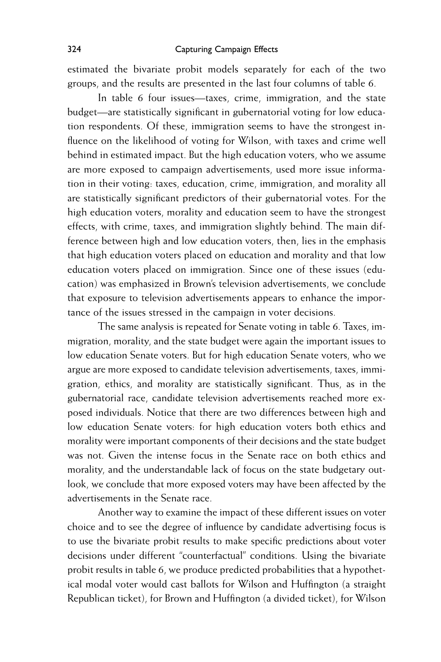### 324 Capturing Campaign Effects

estimated the bivariate probit models separately for each of the two groups, and the results are presented in the last four columns of table 6.

In table 6 four issues—taxes, crime, immigration, and the state budget—are statistically significant in gubernatorial voting for low education respondents. Of these, immigration seems to have the strongest influence on the likelihood of voting for Wilson, with taxes and crime well behind in estimated impact. But the high education voters, who we assume are more exposed to campaign advertisements, used more issue information in their voting: taxes, education, crime, immigration, and morality all are statistically significant predictors of their gubernatorial votes. For the high education voters, morality and education seem to have the strongest effects, with crime, taxes, and immigration slightly behind. The main difference between high and low education voters, then, lies in the emphasis that high education voters placed on education and morality and that low education voters placed on immigration. Since one of these issues (education) was emphasized in Brown's television advertisements, we conclude that exposure to television advertisements appears to enhance the importance of the issues stressed in the campaign in voter decisions.

The same analysis is repeated for Senate voting in table 6. Taxes, immigration, morality, and the state budget were again the important issues to low education Senate voters. But for high education Senate voters, who we argue are more exposed to candidate television advertisements, taxes, immigration, ethics, and morality are statistically significant. Thus, as in the gubernatorial race, candidate television advertisements reached more exposed individuals. Notice that there are two differences between high and low education Senate voters: for high education voters both ethics and morality were important components of their decisions and the state budget was not. Given the intense focus in the Senate race on both ethics and morality, and the understandable lack of focus on the state budgetary outlook, we conclude that more exposed voters may have been affected by the advertisements in the Senate race.

Another way to examine the impact of these different issues on voter choice and to see the degree of influence by candidate advertising focus is to use the bivariate probit results to make specific predictions about voter decisions under different "counterfactual" conditions. Using the bivariate probit results in table 6, we produce predicted probabilities that a hypothetical modal voter would cast ballots for Wilson and Huffington (a straight Republican ticket), for Brown and Huffington (a divided ticket), for Wilson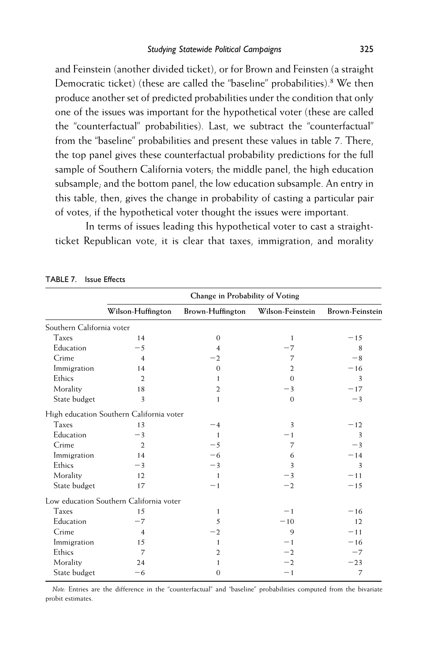and Feinstein (another divided ticket), or for Brown and Feinsten (a straight Democratic ticket) (these are called the "baseline" probabilities).<sup>8</sup> We then produce another set of predicted probabilities under the condition that only one of the issues was important for the hypothetical voter (these are called the "counterfactual" probabilities). Last, we subtract the "counterfactual" from the "baseline" probabilities and present these values in table 7. There, the top panel gives these counterfactual probability predictions for the full sample of Southern California voters; the middle panel, the high education subsample; and the bottom panel, the low education subsample. An entry in this table, then, gives the change in probability of casting a particular pair of votes, if the hypothetical voter thought the issues were important.

In terms of issues leading this hypothetical voter to cast a straightticket Republican vote, it is clear that taxes, immigration, and morality

|                           | Change in Probability of Voting          |                  |                  |                        |  |  |
|---------------------------|------------------------------------------|------------------|------------------|------------------------|--|--|
|                           | Wilson-Huffington                        | Brown-Huffington | Wilson-Feinstein | <b>Brown-Feinstein</b> |  |  |
| Southern California voter |                                          |                  |                  |                        |  |  |
| Taxes                     | 14                                       | $\overline{0}$   | 1                | $-15$                  |  |  |
| Education                 | $-5$                                     | 4                | $-7$             | 8                      |  |  |
| Crime                     | $\overline{4}$                           | $-2$             | $\overline{7}$   | $-8$                   |  |  |
| Immigration               | 14                                       | $\mathbf{0}$     | $\mathfrak{D}$   | $-16$                  |  |  |
| Ethics                    | $\overline{2}$                           | 1                | $\Omega$         | 3                      |  |  |
| Morality                  | 18                                       | 2                | $-3$             | $-17$                  |  |  |
| State budget              | $\overline{3}$                           | 1                | $\mathbf{0}$     | $-3$                   |  |  |
|                           | High education Southern California voter |                  |                  |                        |  |  |
| <b>Taxes</b>              | 13                                       | $-4$             | 3                | $-12$                  |  |  |
| Education                 | $-3$                                     | 1                | $-1$             | 3                      |  |  |
| Crime                     | $\mathfrak{D}$                           | $-5$             | 7                | $-3$                   |  |  |
| Immigration               | 14                                       | $-6$             | 6                | $-14$                  |  |  |
| Ethics                    | $-3$                                     | $-3$             | 3                | 3                      |  |  |
| Morality                  | 12                                       | 1                | $-3$             | $-11$                  |  |  |
| State budget              | 17                                       | $-1$             | $-2$             | $-15$                  |  |  |
|                           | Low education Southern California voter  |                  |                  |                        |  |  |
| Taxes                     | 15                                       | 1                | $-1$             | $-16$                  |  |  |
| Education                 | $-7$                                     | 5                | $-10$            | 12                     |  |  |
| Crime                     | $\overline{4}$                           | $-2$             | 9                | $-11$                  |  |  |
| Immigration               | 15                                       | 1                | $-1$             | $-16$                  |  |  |
| Ethics                    | $\overline{7}$                           | 2                | $-2$             | $-7$                   |  |  |
| Morality                  | 24                                       | 1                | $-2$             | $-23$                  |  |  |
| State budget              | $-6$                                     | $\overline{0}$   | $-1$             | 7                      |  |  |

### TABLE 7. Issue Effects

*Note:* Entries are the difference in the "counterfactual" and "baseline" probabilities computed from the bivariate probit estimates.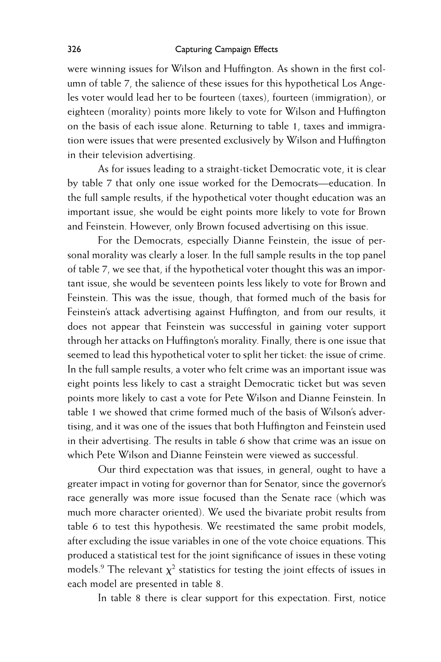### 326 Capturing Campaign Effects

were winning issues for Wilson and Huffington. As shown in the first column of table 7, the salience of these issues for this hypothetical Los Angeles voter would lead her to be fourteen (taxes), fourteen (immigration), or eighteen (morality) points more likely to vote for Wilson and Huffington on the basis of each issue alone. Returning to table 1, taxes and immigration were issues that were presented exclusively by Wilson and Huffington in their television advertising.

As for issues leading to a straight-ticket Democratic vote, it is clear by table 7 that only one issue worked for the Democrats—education. In the full sample results, if the hypothetical voter thought education was an important issue, she would be eight points more likely to vote for Brown and Feinstein. However, only Brown focused advertising on this issue.

For the Democrats, especially Dianne Feinstein, the issue of personal morality was clearly a loser. In the full sample results in the top panel of table 7, we see that, if the hypothetical voter thought this was an important issue, she would be seventeen points less likely to vote for Brown and Feinstein. This was the issue, though, that formed much of the basis for Feinstein's attack advertising against Huffington, and from our results, it does not appear that Feinstein was successful in gaining voter support through her attacks on Huffington's morality. Finally, there is one issue that seemed to lead this hypothetical voter to split her ticket: the issue of crime. In the full sample results, a voter who felt crime was an important issue was eight points less likely to cast a straight Democratic ticket but was seven points more likely to cast a vote for Pete Wilson and Dianne Feinstein. In table 1 we showed that crime formed much of the basis of Wilson's advertising, and it was one of the issues that both Huffington and Feinstein used in their advertising. The results in table 6 show that crime was an issue on which Pete Wilson and Dianne Feinstein were viewed as successful.

Our third expectation was that issues, in general, ought to have a greater impact in voting for governor than for Senator, since the governor's race generally was more issue focused than the Senate race (which was much more character oriented). We used the bivariate probit results from table 6 to test this hypothesis. We reestimated the same probit models, after excluding the issue variables in one of the vote choice equations. This produced a statistical test for the joint significance of issues in these voting models.<sup>9</sup> The relevant  $\chi^2$  statistics for testing the joint effects of issues in each model are presented in table 8.

In table 8 there is clear support for this expectation. First, notice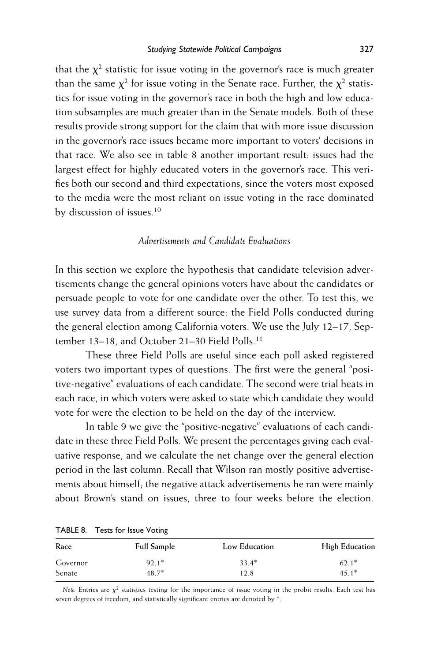that the  $\chi^2$  statistic for issue voting in the governor's race is much greater than the same  $\chi^2$  for issue voting in the Senate race. Further, the  $\chi^2$  statistics for issue voting in the governor's race in both the high and low education subsamples are much greater than in the Senate models. Both of these results provide strong support for the claim that with more issue discussion in the governor's race issues became more important to voters' decisions in that race. We also see in table 8 another important result: issues had the largest effect for highly educated voters in the governor's race. This verifies both our second and third expectations, since the voters most exposed to the media were the most reliant on issue voting in the race dominated by discussion of issues.10

# *Advertisements and Candidate Evaluations*

In this section we explore the hypothesis that candidate television advertisements change the general opinions voters have about the candidates or persuade people to vote for one candidate over the other. To test this, we use survey data from a different source: the Field Polls conducted during the general election among California voters. We use the July 12–17, September 13-18, and October 21-30 Field Polls.<sup>11</sup>

These three Field Polls are useful since each poll asked registered voters two important types of questions. The first were the general "positive-negative" evaluations of each candidate. The second were trial heats in each race, in which voters were asked to state which candidate they would vote for were the election to be held on the day of the interview.

In table 9 we give the "positive-negative" evaluations of each candidate in these three Field Polls. We present the percentages giving each evaluative response, and we calculate the net change over the general election period in the last column. Recall that Wilson ran mostly positive advertisements about himself; the negative attack advertisements he ran were mainly about Brown's stand on issues, three to four weeks before the election.

| Race     | <b>Full Sample</b> | Low Education | <b>High Education</b> |
|----------|--------------------|---------------|-----------------------|
| Governor | $92.1*$            | $33.4*$       | $62.1*$               |
| Senate   | 48.7*              | 12.8          | $45.1*$               |

TABLE 8. Tests for Issue Voting

*Note:* Entries are  $\chi^2$  statistics testing for the importance of issue voting in the probit results. Each test has seven degrees of freedom, and statistically significant entries are denoted by \*.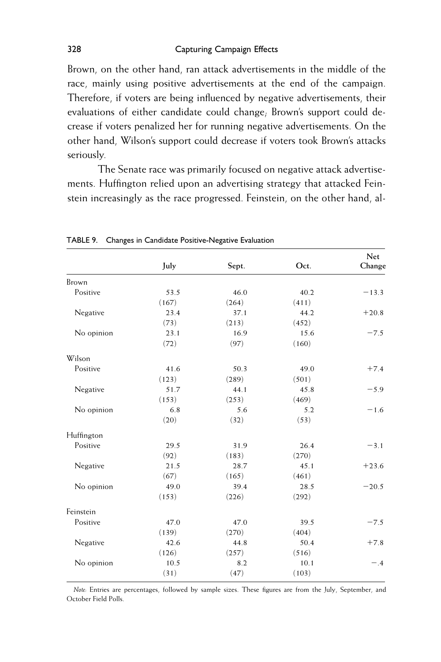Brown, on the other hand, ran attack advertisements in the middle of the race, mainly using positive advertisements at the end of the campaign. Therefore, if voters are being influenced by negative advertisements, their evaluations of either candidate could change; Brown's support could decrease if voters penalized her for running negative advertisements. On the other hand, Wilson's support could decrease if voters took Brown's attacks seriously.

The Senate race was primarily focused on negative attack advertisements. Huffington relied upon an advertising strategy that attacked Feinstein increasingly as the race progressed. Feinstein, on the other hand, al-

|            | July  | Sept. | Oct.  | Net<br>Change |
|------------|-------|-------|-------|---------------|
| Brown      |       |       |       |               |
| Positive   | 53.5  | 46.0  | 40.2  | $-13.3$       |
|            |       |       |       |               |
|            | (167) | (264) | (411) |               |
| Negative   | 23.4  | 37.1  | 44.2  | $+20.8$       |
|            | (73)  | (213) | (452) |               |
| No opinion | 23.1  | 16.9  | 15.6  | $-7.5$        |
|            | (72)  | (97)  | (160) |               |
| Wilson     |       |       |       |               |
| Positive   | 41.6  | 50.3  | 49.0  | $+7.4$        |
|            | (123) | (289) | (501) |               |
| Negative   | 51.7  | 44.1  | 45.8  | $-5.9$        |
|            | (153) | (253) | (469) |               |
| No opinion | 6.8   | 5.6   | 5.2   | $-1.6$        |
|            | (20)  | (32)  | (53)  |               |
| Huffington |       |       |       |               |
| Positive   | 29.5  | 31.9  | 26.4  | $-3.1$        |
|            | (92)  | (183) | (270) |               |
| Negative   | 21.5  | 28.7  | 45.1  | $+23.6$       |
|            | (67)  | (165) | (461) |               |
| No opinion | 49.0  | 39.4  | 28.5  | $-20.5$       |
|            | (153) | (226) | (292) |               |
| Feinstein  |       |       |       |               |
| Positive   | 47.0  | 47.0  | 39.5  | $-7.5$        |
|            | (139) | (270) | (404) |               |
| Negative   | 42.6  | 44.8  | 50.4  | $+7.8$        |
|            | (126) | (257) | (516) |               |
| No opinion | 10.5  | 8.2   | 10.1  | $-.4$         |
|            | (31)  | (47)  | (103) |               |

### TABLE 9. Changes in Candidate Positive-Negative Evaluation

*Note:* Entries are percentages, followed by sample sizes. These figures are from the July, September, and October Field Polls.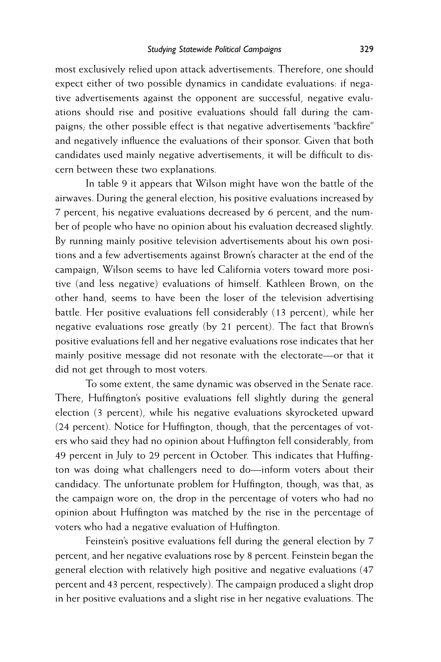most exclusively relied upon attack advertisements. Therefore, one should expect either of two possible dynamics in candidate evaluations: if negative advertisements against the opponent are successful, negative evaluations should rise and positive evaluations should fall during the campaigns; the other possible effect is that negative advertisements "backfire" and negatively influence the evaluations of their sponsor. Given that both candidates used mainly negative advertisements, it will be difficult to discern between these two explanations.

In table 9 it appears that Wilson might have won the battle of the airwaves. During the general election, his positive evaluations increased by 7 percent, his negative evaluations decreased by 6 percent, and the number of people who have no opinion about his evaluation decreased slightly. By running mainly positive television advertisements about his own positions and a few advertisements against Brown's character at the end of the campaign, Wilson seems to have led California voters toward more positive (and less negative) evaluations of himself. Kathleen Brown, on the other hand, seems to have been the loser of the television advertising battle. Her positive evaluations fell considerably (13 percent), while her negative evaluations rose greatly (by 21 percent). The fact that Brown's positive evaluations fell and her negative evaluations rose indicates that her mainly positive message did not resonate with the electorate—or that it did not get through to most voters.

To some extent, the same dynamic was observed in the Senate race. There, Huffington's positive evaluations fell slightly during the general election (3 percent), while his negative evaluations skyrocketed upward  $(24$  percent). Notice for Huffington, though, that the percentages of voters who said they had no opinion about Huffington fell considerably, from 49 percent in July to 29 percent in October. This indicates that Huffington was doing what challengers need to do—inform voters about their candidacy. The unfortunate problem for Huffington, though, was that, as the campaign wore on, the drop in the percentage of voters who had no opinion about Huffington was matched by the rise in the percentage of voters who had a negative evaluation of Huffington.

Feinstein's positive evaluations fell during the general election by 7 percent, and her negative evaluations rose by 8 percent. Feinstein began the general election with relatively high positive and negative evaluations (47 percent and 43 percent, respectively). The campaign produced a slight drop in her positive evaluations and a slight rise in her negative evaluations. The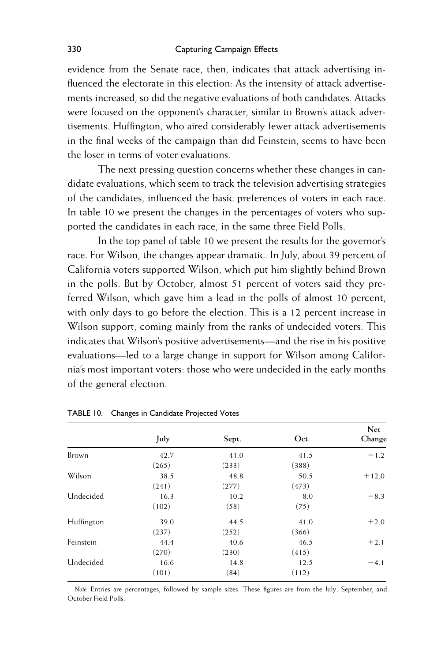### 330 Capturing Campaign Effects

evidence from the Senate race, then, indicates that attack advertising influenced the electorate in this election: As the intensity of attack advertisements increased, so did the negative evaluations of both candidates. Attacks were focused on the opponent's character, similar to Brown's attack advertisements. Huffington, who aired considerably fewer attack advertisements in the final weeks of the campaign than did Feinstein, seems to have been the loser in terms of voter evaluations.

The next pressing question concerns whether these changes in candidate evaluations, which seem to track the television advertising strategies of the candidates, influenced the basic preferences of voters in each race. In table 10 we present the changes in the percentages of voters who supported the candidates in each race, in the same three Field Polls.

In the top panel of table 10 we present the results for the governor's race. For Wilson, the changes appear dramatic. In July, about 39 percent of California voters supported Wilson, which put him slightly behind Brown in the polls. But by October, almost 51 percent of voters said they preferred Wilson, which gave him a lead in the polls of almost 10 percent, with only days to go before the election. This is a 12 percent increase in Wilson support, coming mainly from the ranks of undecided voters. This indicates that Wilson's positive advertisements—and the rise in his positive evaluations—led to a large change in support for Wilson among California's most important voters: those who were undecided in the early months of the general election.

|            | July  | Sept. | Oct.  | Net<br>Change |
|------------|-------|-------|-------|---------------|
| Brown      | 42.7  | 41.0  | 41.5  | $-1.2$        |
|            | (265) | (233) | (388) |               |
| Wilson     | 38.5  | 48.8  | 50.5  | $+12.0$       |
|            | (241) | (277) | (473) |               |
| Undecided  | 16.3  | 10.2  | 8.0   | $-8.3$        |
|            | (102) | (58)  | (75)  |               |
| Huffington | 39.0  | 44.5  | 41.0  | $+2.0$        |
|            | (237) | (252) | (366) |               |
| Feinstein  | 44.4  | 40.6  | 46.5  | $+2.1$        |
|            | (270) | (230) | (415) |               |
| Undecided  | 16.6  | 14.8  | 12.5  | $-4.1$        |
|            | (101) | (84)  | (112) |               |

TABLE 10. Changes in Candidate Projected Votes

*Note:* Entries are percentages, followed by sample sizes. These figures are from the July, September, and October Field Polls.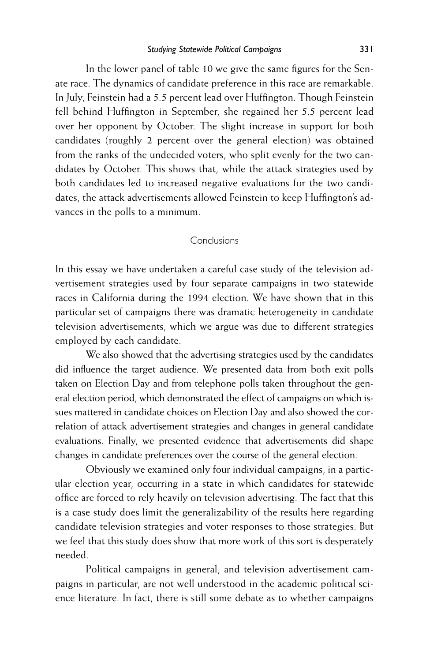In the lower panel of table 10 we give the same figures for the Senate race. The dynamics of candidate preference in this race are remarkable. In July, Feinstein had a 5.5 percent lead over Huffington. Though Feinstein fell behind Huffington in September, she regained her 5.5 percent lead over her opponent by October. The slight increase in support for both candidates (roughly 2 percent over the general election) was obtained from the ranks of the undecided voters, who split evenly for the two candidates by October. This shows that, while the attack strategies used by both candidates led to increased negative evaluations for the two candidates, the attack advertisements allowed Feinstein to keep Huffington's advances in the polls to a minimum.

## Conclusions

In this essay we have undertaken a careful case study of the television advertisement strategies used by four separate campaigns in two statewide races in California during the 1994 election. We have shown that in this particular set of campaigns there was dramatic heterogeneity in candidate television advertisements, which we argue was due to different strategies employed by each candidate.

We also showed that the advertising strategies used by the candidates did influence the target audience. We presented data from both exit polls taken on Election Day and from telephone polls taken throughout the general election period, which demonstrated the effect of campaigns on which issues mattered in candidate choices on Election Day and also showed the correlation of attack advertisement strategies and changes in general candidate evaluations. Finally, we presented evidence that advertisements did shape changes in candidate preferences over the course of the general election.

Obviously we examined only four individual campaigns, in a particular election year, occurring in a state in which candidates for statewide office are forced to rely heavily on television advertising. The fact that this is a case study does limit the generalizability of the results here regarding candidate television strategies and voter responses to those strategies. But we feel that this study does show that more work of this sort is desperately needed.

Political campaigns in general, and television advertisement campaigns in particular, are not well understood in the academic political science literature. In fact, there is still some debate as to whether campaigns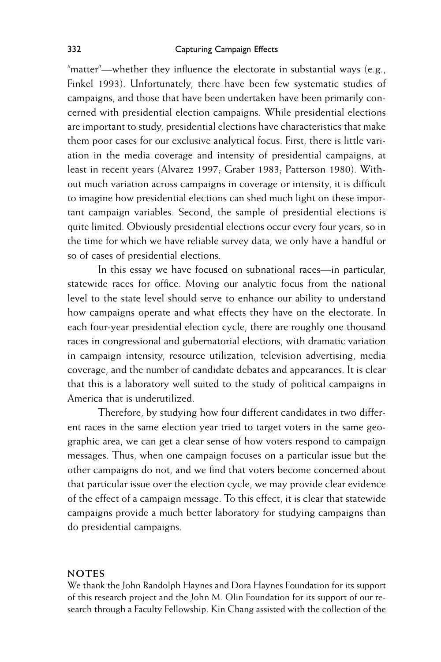"matter"—whether they influence the electorate in substantial ways  $(e.g.,)$ Finkel 1993). Unfortunately, there have been few systematic studies of campaigns, and those that have been undertaken have been primarily concerned with presidential election campaigns. While presidential elections are important to study, presidential elections have characteristics that make them poor cases for our exclusive analytical focus. First, there is little variation in the media coverage and intensity of presidential campaigns, at least in recent years (Alvarez 1997; Graber 1983; Patterson 1980). Without much variation across campaigns in coverage or intensity, it is difficult to imagine how presidential elections can shed much light on these important campaign variables. Second, the sample of presidential elections is quite limited. Obviously presidential elections occur every four years, so in the time for which we have reliable survey data, we only have a handful or so of cases of presidential elections.

In this essay we have focused on subnational races—in particular, statewide races for office. Moving our analytic focus from the national level to the state level should serve to enhance our ability to understand how campaigns operate and what effects they have on the electorate. In each four-year presidential election cycle, there are roughly one thousand races in congressional and gubernatorial elections, with dramatic variation in campaign intensity, resource utilization, television advertising, media coverage, and the number of candidate debates and appearances. It is clear that this is a laboratory well suited to the study of political campaigns in America that is underutilized.

Therefore, by studying how four different candidates in two different races in the same election year tried to target voters in the same geographic area, we can get a clear sense of how voters respond to campaign messages. Thus, when one campaign focuses on a particular issue but the other campaigns do not, and we find that voters become concerned about that particular issue over the election cycle, we may provide clear evidence of the effect of a campaign message. To this effect, it is clear that statewide campaigns provide a much better laboratory for studying campaigns than do presidential campaigns.

## **NOTES**

We thank the John Randolph Haynes and Dora Haynes Foundation for its support of this research project and the John M. Olin Foundation for its support of our research through a Faculty Fellowship. Kin Chang assisted with the collection of the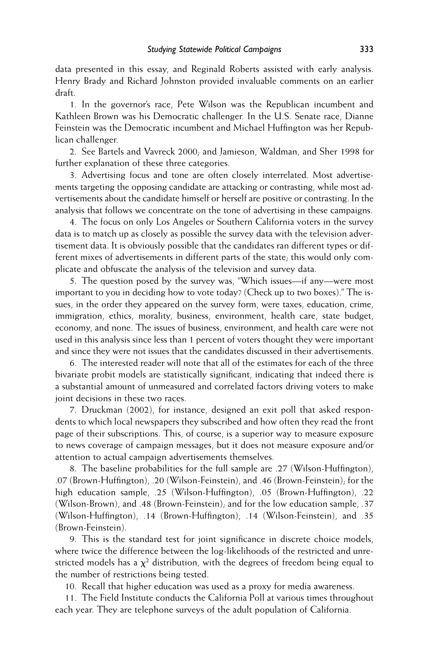data presented in this essay, and Reginald Roberts assisted with early analysis. Henry Brady and Richard Johnston provided invaluable comments on an earlier draft.

1. In the governor's race, Pete Wilson was the Republican incumbent and Kathleen Brown was his Democratic challenger. In the U.S. Senate race, Dianne Feinstein was the Democratic incumbent and Michael Huffington was her Republican challenger.

2. See Bartels and Vavreck 2000; and Jamieson, Waldman, and Sher 1998 for further explanation of these three categories.

3. Advertising focus and tone are often closely interrelated. Most advertisements targeting the opposing candidate are attacking or contrasting, while most advertisements about the candidate himself or herself are positive or contrasting. In the analysis that follows we concentrate on the tone of advertising in these campaigns.

4. The focus on only Los Angeles or Southern California voters in the survey data is to match up as closely as possible the survey data with the television advertisement data. It is obviously possible that the candidates ran different types or different mixes of advertisements in different parts of the state; this would only complicate and obfuscate the analysis of the television and survey data.

5. The question posed by the survey was, "Which issues—if any—were most important to you in deciding how to vote today? (Check up to two boxes)." The issues, in the order they appeared on the survey form, were taxes, education, crime, immigration, ethics, morality, business, environment, health care, state budget, economy, and none. The issues of business, environment, and health care were not used in this analysis since less than 1 percent of voters thought they were important and since they were not issues that the candidates discussed in their advertisements.

6. The interested reader will note that all of the estimates for each of the three bivariate probit models are statistically significant, indicating that indeed there is a substantial amount of unmeasured and correlated factors driving voters to make joint decisions in these two races.

7. Druckman (2002), for instance, designed an exit poll that asked respondents to which local newspapers they subscribed and how often they read the front page of their subscriptions. This, of course, is a superior way to measure exposure to news coverage of campaign messages, but it does not measure exposure and/or attention to actual campaign advertisements themselves.

8. The baseline probabilities for the full sample are .27 (Wilson-Huffington), .07 (Brown-Huffington), .20 (Wilson-Feinstein), and .46 (Brown-Feinstein); for the high education sample, .25 (Wilson-Huffington), .05 (Brown-Huffington), .22 (Wilson-Brown), and .48 (Brown-Feinstein); and for the low education sample, .37 (Wilson-Huffington), .14 (Brown-Huffington), .14 (Wilson-Feinstein), and .35 (Brown-Feinstein).

9. This is the standard test for joint significance in discrete choice models, where twice the difference between the log-likelihoods of the restricted and unrestricted models has a  $\chi^2$  distribution, with the degrees of freedom being equal to the number of restrictions being tested.

10. Recall that higher education was used as a proxy for media awareness.

11. The Field Institute conducts the California Poll at various times throughout each year. They are telephone surveys of the adult population of California.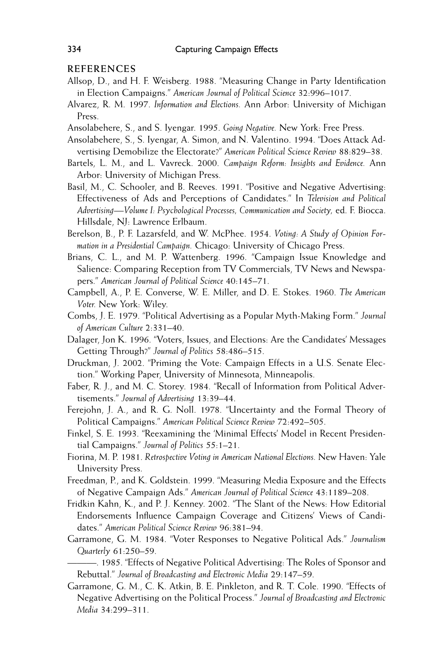**REFERENCES**

- Allsop, D., and H. F. Weisberg. 1988. "Measuring Change in Party Identification in Election Campaigns." *American Journal of Political Science* 32:996–1017.
- Alvarez, R. M. 1997. *Information and Elections.* Ann Arbor: University of Michigan Press.
- Ansolabehere, S., and S. Iyengar. 1995. *Going Negative.* New York: Free Press.
- Ansolabehere, S., S. Iyengar, A. Simon, and N. Valentino. 1994. "Does Attack Advertising Demobilize the Electorate?" *American Political Science Review* 88:829–38.
- Bartels, L. M., and L. Vavreck. 2000. *Campaign Reform: Insights and Evidence.* Ann Arbor: University of Michigan Press.
- Basil, M., C. Schooler, and B. Reeves. 1991. "Positive and Negative Advertising: Effectiveness of Ads and Perceptions of Candidates." In *Television and Political Advertising—Volume I: Psychological Processes, Communication and Society,* ed. F. Biocca. Hillsdale, NJ: Lawrence Erlbaum.
- Berelson, B., P. F. Lazarsfeld, and W. McPhee. 1954. *Voting: A Study of Opinion Formation in a Presidential Campaign.* Chicago: University of Chicago Press.
- Brians, C. L., and M. P. Wattenberg. 1996. "Campaign Issue Knowledge and Salience: Comparing Reception from TV Commercials, TV News and Newspapers." *American Journal of Political Science* 40:145–71.
- Campbell, A., P. E. Converse, W. E. Miller, and D. E. Stokes. 1960. *The American Voter.* New York: Wiley.
- Combs, J. E. 1979. "Political Advertising as a Popular Myth-Making Form." *Journal of American Culture* 2:331–40.
- Dalager, Jon K. 1996. "Voters, Issues, and Elections: Are the Candidates' Messages Getting Through?" *Journal of Politics* 58:486–515.
- Druckman, J. 2002. "Priming the Vote: Campaign Effects in a U.S. Senate Election." Working Paper, University of Minnesota, Minneapolis.
- Faber, R. J., and M. C. Storey. 1984. "Recall of Information from Political Advertisements." *Journal of Advertising* 13:39–44.
- Ferejohn, J. A., and R. G. Noll. 1978. "Uncertainty and the Formal Theory of Political Campaigns." *American Political Science Review* 72:492–505.
- Finkel, S. E. 1993. "Reexamining the 'Minimal Effects' Model in Recent Presidential Campaigns." *Journal of Politics* 55:1–21.
- Fiorina, M. P. 1981. *Retrospective Voting in American National Elections.* New Haven: Yale University Press.
- Freedman, P., and K. Goldstein. 1999. "Measuring Media Exposure and the Effects of Negative Campaign Ads." *American Journal of Political Science* 43:1189–208.
- Fridkin Kahn, K., and P. J. Kenney. 2002. "The Slant of the News: How Editorial Endorsements InBuence Campaign Coverage and Citizens' Views of Candidates." *American Political Science Review* 96:381–94.
- Garramone, G. M. 1984. "Voter Responses to Negative Political Ads." *Journalism Quarterly* 61:250–59.
	- ———. 1985. "Effects of Negative Political Advertising: The Roles of Sponsor and Rebuttal." *Journal of Broadcasting and Electronic Media* 29:147–59.
- Garramone, G. M., C. K. Atkin, B. E. Pinkleton, and R. T. Cole. 1990. "Effects of Negative Advertising on the Political Process." *Journal of Broadcasting and Electronic Media* 34:299–311.